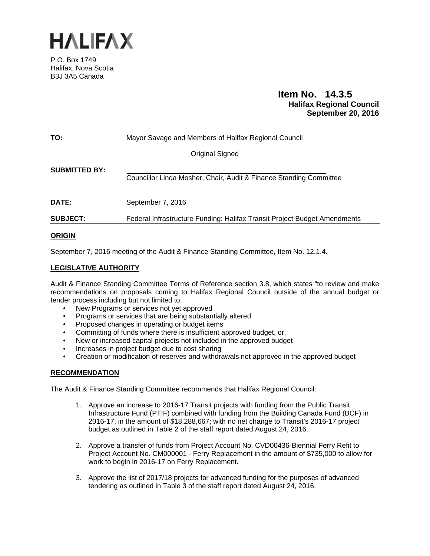

P.O. Box 1749 Halifax, Nova Scotia B3J 3A5 Canada

# **Item No. 14.3.5 Halifax Regional Council September 20, 2016**

| TO:                  | Mayor Savage and Members of Halifax Regional Council                      |
|----------------------|---------------------------------------------------------------------------|
|                      | <b>Original Signed</b>                                                    |
| <b>SUBMITTED BY:</b> | Councillor Linda Mosher, Chair, Audit & Finance Standing Committee        |
| <b>DATE:</b>         | September 7, 2016                                                         |
| <b>SUBJECT:</b>      | Federal Infrastructure Funding: Halifax Transit Project Budget Amendments |

# **ORIGIN**

September 7, 2016 meeting of the Audit & Finance Standing Committee, Item No. 12.1.4.

# **LEGISLATIVE AUTHORITY**

Audit & Finance Standing Committee Terms of Reference section 3.8, which states "to review and make recommendations on proposals coming to Halifax Regional Council outside of the annual budget or tender process including but not limited to:

- New Programs or services not yet approved
- Programs or services that are being substantially altered
- Proposed changes in operating or budget items
- Committing of funds where there is insufficient approved budget, or,
- New or increased capital projects not included in the approved budget
- Increases in project budget due to cost sharing
- Creation or modification of reserves and withdrawals not approved in the approved budget

# **RECOMMENDATION**

The Audit & Finance Standing Committee recommends that Halifax Regional Council:

- 1. Approve an increase to 2016-17 Transit projects with funding from the Public Transit Infrastructure Fund (PTIF) combined with funding from the Building Canada Fund (BCF) in 2016-17, in the amount of \$18,288,667; with no net change to Transit's 2016-17 project budget as outlined in Table 2 of the staff report dated August 24, 2016.
- 2. Approve a transfer of funds from Project Account No. CVD00436-Biennial Ferry Refit to Project Account No. CM000001 - Ferry Replacement in the amount of \$735,000 to allow for work to begin in 2016-17 on Ferry Replacement.
- 3. Approve the list of 2017/18 projects for advanced funding for the purposes of advanced tendering as outlined in Table 3 of the staff report dated August 24, 2016.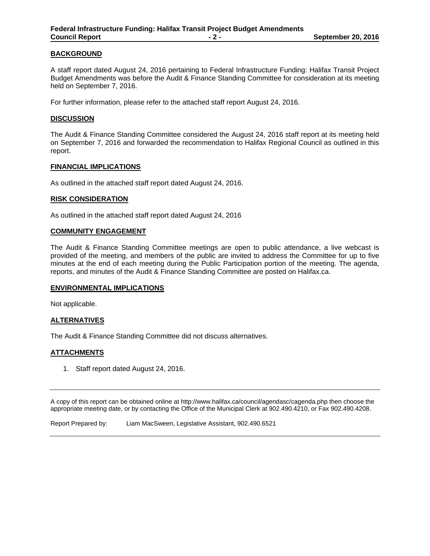## **BACKGROUND**

A staff report dated August 24, 2016 pertaining to Federal Infrastructure Funding: Halifax Transit Project Budget Amendments was before the Audit & Finance Standing Committee for consideration at its meeting held on September 7, 2016.

For further information, please refer to the attached staff report August 24, 2016.

#### **DISCUSSION**

The Audit & Finance Standing Committee considered the August 24, 2016 staff report at its meeting held on September 7, 2016 and forwarded the recommendation to Halifax Regional Council as outlined in this report.

#### **FINANCIAL IMPLICATIONS**

As outlined in the attached staff report dated August 24, 2016.

#### **RISK CONSIDERATION**

As outlined in the attached staff report dated August 24, 2016

#### **COMMUNITY ENGAGEMENT**

The Audit & Finance Standing Committee meetings are open to public attendance, a live webcast is provided of the meeting, and members of the public are invited to address the Committee for up to five minutes at the end of each meeting during the Public Participation portion of the meeting. The agenda, reports, and minutes of the Audit & Finance Standing Committee are posted on Halifax.ca.

#### **ENVIRONMENTAL IMPLICATIONS**

Not applicable.

# **ALTERNATIVES**

The Audit & Finance Standing Committee did not discuss alternatives.

## **ATTACHMENTS**

1. Staff report dated August 24, 2016.

A copy of this report can be obtained online at http://www.halifax.ca/council/agendasc/cagenda.php then choose the appropriate meeting date, or by contacting the Office of the Municipal Clerk at 902.490.4210, or Fax 902.490.4208.

Report Prepared by: Liam MacSween, Legislative Assistant, 902.490.6521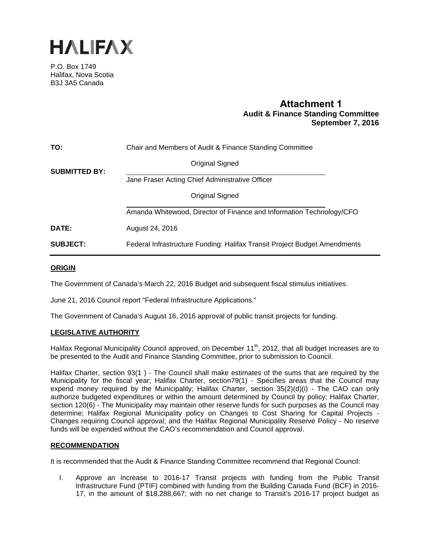

P.O. Box 1749 Halifax, Nova Scotia B3J 3A5 Canada

# **Attachment 1 Audit & Finance Standing Committee September 7, 2016**

| TO:                  | Chair and Members of Audit & Finance Standing Committee                   |
|----------------------|---------------------------------------------------------------------------|
| <b>SUBMITTED BY:</b> | Original Signed                                                           |
|                      | Jane Fraser Acting Chief Administrative Officer                           |
|                      | Original Signed                                                           |
|                      | Amanda Whitewood, Director of Finance and Information Technology/CFO      |
| DATE:                | August 24, 2016                                                           |
| <b>SUBJECT:</b>      | Federal Infrastructure Funding: Halifax Transit Project Budget Amendments |

## **ORIGIN**

The Government of Canada's March 22, 2016 Budget and subsequent fiscal stimulus initiatives.

June 21, 2016 Council report "Federal Infrastructure Applications."

The Government of Canada's August 16, 2016 approval of public transit projects for funding.

# **LEGISLATIVE AUTHORITY**

Halifax Regional Municipality Council approved, on December 11<sup>th</sup>, 2012, that all budget increases are to be presented to the Audit and Finance Standing Committee, prior to submission to Council.

Halifax Charter, section 93(1 ) - The Council shall make estimates of the sums that are required by the Municipality for the fiscal year; Halifax Charter, section79(1) - Specifies areas that the Council may expend money required by the Municipality; Halifax Charter, section 35(2)(d)(i) - The CAO can only authorize budgeted expenditures or within the amount determined by Council by policy; Halifax Charter, section 120(6) - The Municipality may maintain other reserve funds for such purposes as the Council may determine; Halifax Regional Municipality policy on Changes to Cost Sharing for Capital Projects - Changes requiring Council approval; and the Halifax Regional Municipality Reserve Policy - No reserve funds will be expended without the CAO's recommendation and Council approval.

## **RECOMMENDATION**

It is recommended that the Audit & Finance Standing Committee recommend that Regional Council:

I. Approve an increase to 2016-17 Transit projects with funding from the Public Transit Infrastructure Fund (PTIF) combined with funding from the Building Canada Fund (BCF) in 2016- 17, in the amount of \$18,288,667; with no net change to Transit's 2016-17 project budget as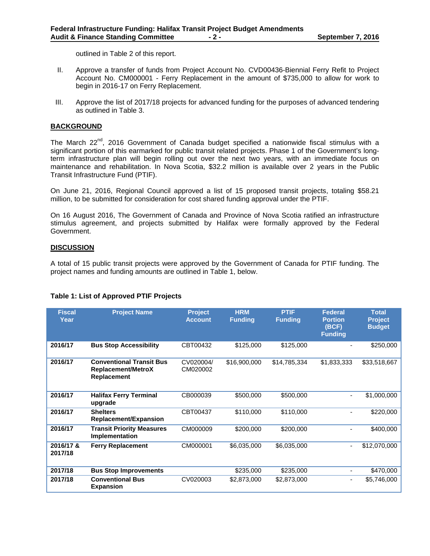outlined in Table 2 of this report.

- II. Approve a transfer of funds from Project Account No. CVD00436-Biennial Ferry Refit to Project Account No. CM000001 - Ferry Replacement in the amount of \$735,000 to allow for work to begin in 2016-17 on Ferry Replacement.
- III. Approve the list of 2017/18 projects for advanced funding for the purposes of advanced tendering as outlined in Table 3.

#### **BACKGROUND**

The March  $22^{nd}$ , 2016 Government of Canada budget specified a nationwide fiscal stimulus with a significant portion of this earmarked for public transit related projects. Phase 1 of the Government's longterm infrastructure plan will begin rolling out over the next two years, with an immediate focus on maintenance and rehabilitation. In Nova Scotia, \$32.2 million is available over 2 years in the Public Transit Infrastructure Fund (PTIF).

On June 21, 2016, Regional Council approved a list of 15 proposed transit projects, totaling \$58.21 million, to be submitted for consideration for cost shared funding approval under the PTIF.

On 16 August 2016, The Government of Canada and Province of Nova Scotia ratified an infrastructure stimulus agreement, and projects submitted by Halifax were formally approved by the Federal Government.

## **DISCUSSION**

A total of 15 public transit projects were approved by the Government of Canada for PTIF funding. The project names and funding amounts are outlined in Table 1, below.

| <b>Fiscal</b><br>Year | <b>Project Name</b>                                                         | <b>Project</b><br><b>Account</b> | <b>HRM</b><br><b>Funding</b> | <b>PTIF</b><br><b>Funding</b> | <b>Federal</b><br><b>Portion</b><br>(BCF)<br><b>Funding</b> | <b>Total</b><br><b>Project</b><br><b>Budget</b> |
|-----------------------|-----------------------------------------------------------------------------|----------------------------------|------------------------------|-------------------------------|-------------------------------------------------------------|-------------------------------------------------|
| 2016/17               | <b>Bus Stop Accessibility</b>                                               | CBT00432                         | \$125,000                    | \$125,000                     |                                                             | \$250,000                                       |
| 2016/17               | <b>Conventional Transit Bus</b><br><b>Replacement/MetroX</b><br>Replacement | CV020004/<br>CM020002            | \$16,900,000                 | \$14,785,334                  | \$1,833,333                                                 | \$33,518,667                                    |
| 2016/17               | <b>Halifax Ferry Terminal</b><br>upgrade                                    | CB000039                         | \$500,000                    | \$500,000                     |                                                             | \$1,000,000                                     |
| 2016/17               | <b>Shelters</b><br><b>Replacement/Expansion</b>                             | CBT00437                         | \$110,000                    | \$110,000                     | -                                                           | \$220,000                                       |
| 2016/17               | <b>Transit Priority Measures</b><br>Implementation                          | CM000009                         | \$200,000                    | \$200,000                     |                                                             | \$400,000                                       |
| 2016/17 &<br>2017/18  | <b>Ferry Replacement</b>                                                    | CM000001                         | \$6,035,000                  | \$6,035,000                   | $\overline{\phantom{a}}$                                    | \$12,070,000                                    |
| 2017/18               | <b>Bus Stop Improvements</b>                                                |                                  | \$235,000                    | \$235,000                     | -                                                           | \$470,000                                       |
| 2017/18               | <b>Conventional Bus</b><br><b>Expansion</b>                                 | CV020003                         | \$2,873,000                  | \$2,873,000                   | ۰                                                           | \$5,746,000                                     |

# **Table 1: List of Approved PTIF Projects**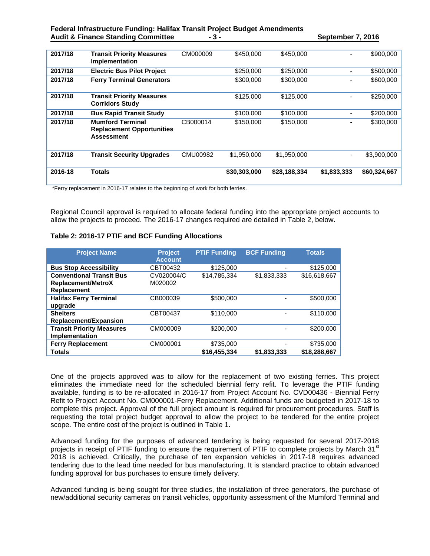#### **Federal Infrastructure Funding: Halifax Transit Project Budget Amendments**  Audit & Finance Standing Committee **4.1 and 5.4 and 5.4 and 5.4 and 5.4 and 5.4 and 5.4 and 5.4 and 5.4 and 5.4 and 5.4 and 5.4 and 5.4 and 5.4 and 5.4 and 5.4 and 5.4 and 5.4 and 5.4 and 5.4 and 5.4 and 5.4 and 5.4 and 5.**

| 2017/18 | <b>Transit Priority Measures</b><br>Implementation                               | CM000009 | \$450,000    | \$450,000    |             | \$900,000    |
|---------|----------------------------------------------------------------------------------|----------|--------------|--------------|-------------|--------------|
| 2017/18 | <b>Electric Bus Pilot Project</b>                                                |          | \$250,000    | \$250,000    |             | \$500,000    |
| 2017/18 | <b>Ferry Terminal Generators</b>                                                 |          | \$300,000    | \$300,000    |             | \$600,000    |
| 2017/18 | <b>Transit Priority Measures</b><br><b>Corridors Study</b>                       |          | \$125,000    | \$125,000    |             | \$250,000    |
| 2017/18 | <b>Bus Rapid Transit Study</b>                                                   |          | \$100,000    | \$100,000    |             | \$200,000    |
| 2017/18 | <b>Mumford Terminal</b><br><b>Replacement Opportunities</b><br><b>Assessment</b> | CB000014 | \$150,000    | \$150,000    |             | \$300,000    |
| 2017/18 | <b>Transit Security Upgrades</b>                                                 | CMU00982 | \$1,950,000  | \$1,950,000  |             | \$3,900,000  |
| 2016-18 | Totals                                                                           |          | \$30,303,000 | \$28,188,334 | \$1,833,333 | \$60,324,667 |

\*Ferry replacement in 2016-17 relates to the beginning of work for both ferries.

Regional Council approval is required to allocate federal funding into the appropriate project accounts to allow the projects to proceed. The 2016-17 changes required are detailed in Table 2, below.

# **Table 2: 2016-17 PTIF and BCF Funding Allocations**

| <b>Project Name</b>                                                                | <b>Project</b><br><b>Account</b> | <b>PTIF Funding</b> | <b>BCF Funding</b> | <b>Totals</b> |
|------------------------------------------------------------------------------------|----------------------------------|---------------------|--------------------|---------------|
| <b>Bus Stop Accessibility</b>                                                      | CBT00432                         | \$125,000           |                    | \$125,000     |
| <b>Conventional Transit Bus</b><br><b>Replacement/MetroX</b><br><b>Replacement</b> | CV020004/C<br>M020002            | \$14,785,334        | \$1,833,333        | \$16,618,667  |
| <b>Halifax Ferry Terminal</b><br>upgrade                                           | CB000039                         | \$500,000           |                    | \$500,000     |
| <b>Shelters</b><br><b>Replacement/Expansion</b>                                    | CBT00437                         | \$110,000           |                    | \$110,000     |
| <b>Transit Priority Measures</b><br>Implementation                                 | CM000009                         | \$200,000           |                    | \$200,000     |
| <b>Ferry Replacement</b>                                                           | CM000001                         | \$735,000           |                    | \$735,000     |
| <b>Totals</b>                                                                      |                                  | \$16.455.334        | \$1,833,333        | \$18,288,667  |

One of the projects approved was to allow for the replacement of two existing ferries. This project eliminates the immediate need for the scheduled biennial ferry refit. To leverage the PTIF funding available, funding is to be re-allocated in 2016-17 from Project Account No. CVD00436 - Biennial Ferry Refit to Project Account No. CM000001-Ferry Replacement. Additional funds are budgeted in 2017-18 to complete this project. Approval of the full project amount is required for procurement procedures. Staff is requesting the total project budget approval to allow the project to be tendered for the entire project scope. The entire cost of the project is outlined in Table 1.

Advanced funding for the purposes of advanced tendering is being requested for several 2017-2018 projects in receipt of PTIF funding to ensure the requirement of PTIF to complete projects by March 31<sup>st</sup> 2018 is achieved. Critically, the purchase of ten expansion vehicles in 2017-18 requires advanced tendering due to the lead time needed for bus manufacturing. It is standard practice to obtain advanced funding approval for bus purchases to ensure timely delivery.

Advanced funding is being sought for three studies, the installation of three generators, the purchase of new/additional security cameras on transit vehicles, opportunity assessment of the Mumford Terminal and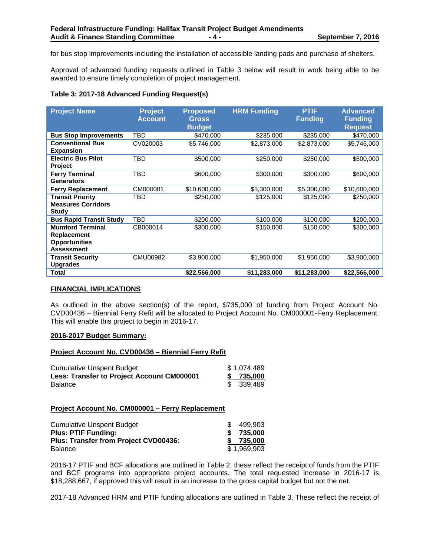for bus stop improvements including the installation of accessible landing pads and purchase of shelters.

Approval of advanced funding requests outlined in Table 3 below will result in work being able to be awarded to ensure timely completion of project management.

# **Table 3: 2017-18 Advanced Funding Request(s)**

| <b>Project Name</b>                                                                 | <b>Project</b><br><b>Account</b> | <b>Proposed</b><br><b>Gross</b><br><b>Budget</b> | <b>HRM Funding</b> | <b>PTIF</b><br><b>Funding</b> | <b>Advanced</b><br><b>Funding</b><br><b>Request</b> |
|-------------------------------------------------------------------------------------|----------------------------------|--------------------------------------------------|--------------------|-------------------------------|-----------------------------------------------------|
| <b>Bus Stop Improvements</b>                                                        | TBD                              | \$470,000                                        | \$235,000          | \$235,000                     | \$470,000                                           |
| <b>Conventional Bus</b><br><b>Expansion</b>                                         | CV020003                         | \$5,746,000                                      | \$2,873,000        | \$2,873,000                   | \$5,746,000                                         |
| <b>Electric Bus Pilot</b><br>Project                                                | TBD                              | \$500,000                                        | \$250,000          | \$250,000                     | \$500,000                                           |
| <b>Ferry Terminal</b><br><b>Generators</b>                                          | TBD                              | \$600,000                                        | \$300,000          | \$300,000                     | \$600,000                                           |
| <b>Ferry Replacement</b>                                                            | CM000001                         | \$10,600,000                                     | \$5,300,000        | \$5,300,000                   | \$10,600,000                                        |
| <b>Transit Priority</b><br><b>Measures Corridors</b><br><b>Study</b>                | TBD                              | \$250,000                                        | \$125,000          | \$125,000                     | \$250,000                                           |
| <b>Bus Rapid Transit Study</b>                                                      | TBD                              | \$200,000                                        | \$100,000          | \$100,000                     | \$200,000                                           |
| <b>Mumford Terminal</b><br>Replacement<br><b>Opportunities</b><br><b>Assessment</b> | CB000014                         | \$300,000                                        | \$150,000          | \$150,000                     | \$300,000                                           |
| <b>Transit Security</b><br><b>Upgrades</b>                                          | CMU00982                         | \$3,900,000                                      | \$1,950,000        | \$1,950,000                   | \$3,900,000                                         |
| Total                                                                               |                                  | \$22,566,000                                     | \$11,283,000       | \$11,283,000                  | \$22,566,000                                        |

## **FINANCIAL IMPLICATIONS**

As outlined in the above section(s) of the report, \$735,000 of funding from Project Account No. CVD00436 – Biennial Ferry Refit will be allocated to Project Account No. CM000001-Ferry Replacement. This will enable this project to begin in 2016-17.

# **2016-2017 Budget Summary:**

#### **Project Account No. CVD00436 – Biennial Ferry Refit**

| <b>Cumulative Unspent Budget</b>           | \$1,074,489 |
|--------------------------------------------|-------------|
| Less: Transfer to Project Account CM000001 | \$ 735,000  |
| <b>Balance</b>                             | \$ 339,489  |

## **Project Account No. CM000001 – Ferry Replacement**

| <b>Cumulative Unspent Budget</b>      | 499.903     |
|---------------------------------------|-------------|
| <b>Plus: PTIF Funding:</b>            | 735.000     |
| Plus: Transfer from Project CVD00436: | \$ 735,000  |
| Balance                               | \$1.969.903 |

2016-17 PTIF and BCF allocations are outlined in Table 2, these reflect the receipt of funds from the PTIF and BCF programs into appropriate project accounts. The total requested increase in 2016-17 is \$18,288,667, if approved this will result in an increase to the gross capital budget but not the net.

2017-18 Advanced HRM and PTIF funding allocations are outlined in Table 3. These reflect the receipt of